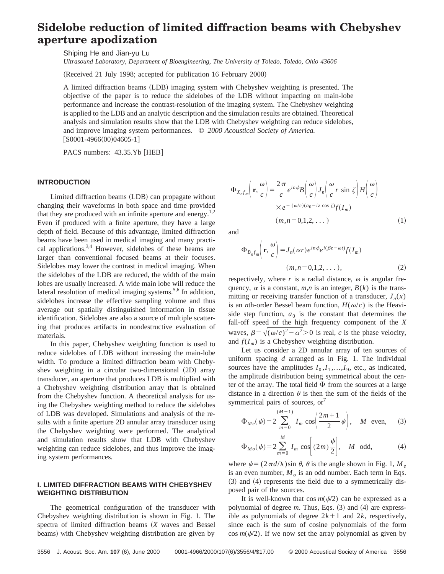# **Sidelobe reduction of limited diffraction beams with Chebyshev aperture apodization**

Shiping He and Jian-yu Lu

*Ultrasound Laboratory, Department of Bioengineering, The University of Toledo, Toledo, Ohio 43606*

(Received 21 July 1998; accepted for publication 16 February 2000)

A limited diffraction beams (LDB) imaging system with Chebyshev weighting is presented. The objective of the paper is to reduce the sidelobes of the LDB without impacting on main-lobe performance and increase the contrast-resolution of the imaging system. The Chebyshev weighting is applied to the LDB and an analytic description and the simulation results are obtained. Theoretical analysis and simulation results show that the LDB with Chebyshev weighting can reduce sidelobes, and improve imaging system performances. © *2000 Acoustical Society of America.*  $[$ S0001-4966 $(00)$ 04605-1]

PACS numbers: 43.35.Yb [HEB]

### **INTRODUCTION**

Limited diffraction beams (LDB) can propagate without changing their waveforms in both space and time provided that they are produced with an infinite aperture and energy.<sup>1,2</sup> Even if produced with a finite aperture, they have a large depth of field. Because of this advantage, limited diffraction beams have been used in medical imaging and many practical applications. $3,4$  However, sidelobes of these beams are larger than conventional focused beams at their focuses. Sidelobes may lower the contrast in medical imaging. When the sidelobes of the LDB are reduced, the width of the main lobes are usually increased. A wide main lobe will reduce the lateral resolution of medical imaging systems.<sup>5,6</sup> In addition, sidelobes increase the effective sampling volume and thus average out spatially distinguished information in tissue identification. Sidelobes are also a source of multiple scattering that produces artifacts in nondestructive evaluation of materials.

In this paper, Chebyshev weighting function is used to reduce sidelobes of LDB without increasing the main-lobe width. To produce a limited diffraction beam with Chebyshev weighting in a circular two-dimensional (2D) array transducer, an aperture that produces LDB is multiplied with a Chebyshev weighting distribution array that is obtained from the Chebyshev function. A theoretical analysis for using the Chebyshev weighting method to reduce the sidelobes of LDB was developed. Simulations and analysis of the results with a finite aperture 2D annular array transducer using the Chebyshev weighting were performed. The analytical and simulation results show that LDB with Chebyshev weighting can reduce sidelobes, and thus improve the imaging system performances.

## **I. LIMITED DIFFRACTION BEAMS WITH CHEBYSHEV WEIGHTING DISTRIBUTION**

The geometrical configuration of the transducer with Chebyshev weighting distribution is shown in Fig. 1. The spectra of limited diffraction beams  $(X$  waves and Bessel beams) with Chebyshev weighting distribution are given by

$$
\Phi_{X_n f_m}\left(\mathbf{r}, \frac{\omega}{c}\right) = \frac{2\pi}{c} e^{in\phi} B\left(\frac{\omega}{c}\right) J_n\left(\frac{\omega}{c} r \sin \zeta\right) H\left(\frac{\omega}{c}\right)
$$

$$
\times e^{-(\omega/c)(a_0 - iz \cos \zeta)} f(I_m)
$$

$$
(m, n = 0, 1, 2, ...)
$$
(1)

and

$$
\Phi_{B_n f_m} \left( \mathbf{r}, \frac{\omega}{c} \right) = J_n(\alpha r) e^{i n \phi} e^{i (\beta z - \omega t)} f(I_m)
$$
\n
$$
(m, n = 0, 1, 2, \dots), \tag{2}
$$

respectively, where  $r$  is a radial distance,  $\omega$  is angular frequency,  $\alpha$  is a constant,  $m, n$  is an integer,  $B(k)$  is the transmitting or receiving transfer function of a transducer,  $J_n(x)$ is an *n*th-order Bessel beam function,  $H(\omega/c)$  is the Heaviside step function,  $a_0$  is the constant that determines the fall-off speed of the high frequency component of the *X* waves,  $\beta = \sqrt{(\omega/c)^2 - \alpha^2} > 0$  is real, *c* is the phase velocity, and  $f(I_m)$  is a Chebyshev weighting distribution.

Let us consider a 2D annular array of ten sources of uniform spacing *d* arranged as in Fig. 1. The individual sources have the amplitudes  $I_0, I_1, \ldots, I_9$ , etc., as indicated, the amplitude distribution being symmetrical about the center of the array. The total field  $\Phi$  from the sources at a large distance in a direction  $\theta$  is then the sum of the fields of the symmetrical pairs of sources,  $or<sup>7</sup>$ 

$$
\Phi_{Me}(\psi) = 2 \sum_{m=0}^{(M-1)} I_m \cos\left(\frac{2m+1}{2}\psi\right), \quad M \text{ even}, \quad (3)
$$

$$
\Phi_{Mo}(\psi) = 2\sum_{m=0}^{M} I_m \cos\left[ (2m) \frac{\psi}{2} \right], \quad M \text{ odd}, \tag{4}
$$

where  $\psi = (2\pi d/\lambda)\sin \theta$ ,  $\theta$  is the angle shown in Fig. 1,  $M_e$ is an even number,  $M_{o}$  is an odd number. Each term in Eqs.  $(3)$  and  $(4)$  represents the field due to a symmetrically disposed pair of the sources.

It is well-known that cos  $m(\psi/2)$  can be expressed as a polynomial of degree  $m$ . Thus, Eqs.  $(3)$  and  $(4)$  are expressible as polynomials of degree  $2k+1$  and  $2k$ , respectively, since each is the sum of cosine polynomials of the form  $\cos m(\psi/2)$ . If we now set the array polynomial as given by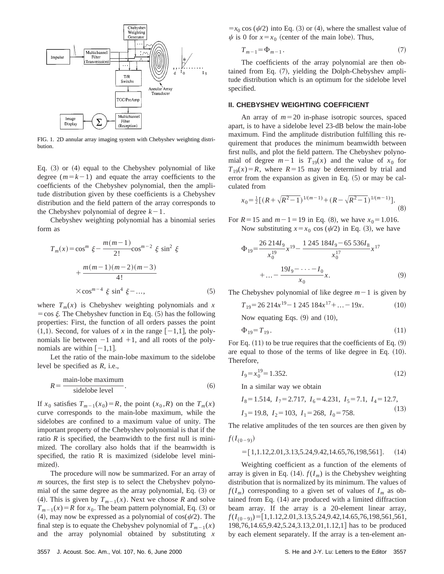

FIG. 1. 2D annular array imaging system with Chebyshev weighting distribution.

Eq.  $(3)$  or  $(4)$  equal to the Chebyshev polynomial of like degree  $(m=k-1)$  and equate the array coefficients to the coefficients of the Chebyshev polynomial, then the amplitude distribution given by these coefficients is a Chebyshev distribution and the field pattern of the array corresponds to the Chebyshev polynomial of degree  $k-1$ .

Chebyshev weighting polynomial has a binomial series form as

$$
T_m(x) = \cos^m \xi - \frac{m(m-1)}{2!} \cos^{m-2} \xi \sin^2 \xi
$$

$$
+ \frac{m(m-1)(m-2)(m-3)}{4!}
$$

$$
\times \cos^{m-4} \xi \sin^4 \xi - ..., \qquad (5)
$$

where  $T_m(x)$  is Chebyshev weighting polynomials and x  $=$ cos  $\xi$ . The Chebyshev function in Eq. (5) has the following properties: First, the function of all orders passes the point  $(1,1)$ . Second, for values of *x* in the range  $[-1,1]$ , the polynomials lie between  $-1$  and  $+1$ , and all roots of the polynomials are within  $[-1,1]$ .

Let the ratio of the main-lobe maximum to the sidelobe level be specified as *R*, i.e.,

$$
R = \frac{\text{main-lobe maximum}}{\text{sidelobe level}}.
$$
 (6)

If  $x_0$  satisfies  $T_{m-1}(x_0) = R$ , the point  $(x_0, R)$  on the  $T_m(x)$ curve corresponds to the main-lobe maximum, while the sidelobes are confined to a maximum value of unity. The important property of the Chebyshev polynomial is that if the ratio  $R$  is specified, the beamwidth to the first null is minimized. The corollary also holds that if the beamwidth is specified, the ratio  $R$  is maximized (sidelobe level minimized).

The procedure will now be summarized. For an array of *m* sources, the first step is to select the Chebyshev polynomial of the same degree as the array polynomial, Eq.  $(3)$  or (4). This is given by  $T_{m-1}(x)$ . Next we choose *R* and solve  $T_{m-1}(x) = R$  for  $x_0$ . The beam pattern polynomial, Eq. (3) or (4), may now be expressed as a polynomial of  $cos(\psi/2)$ . The final step is to equate the Chebyshev polynomial of  $T_{m-1}(x)$ and the array polynomial obtained by substituting *x*  $=x_0 \cos (\psi/2)$  into Eq. (3) or (4), where the smallest value of  $\psi$  is 0 for  $x=x_0$  (center of the main lobe). Thus,

$$
T_{m-1} = \Phi_{m-1} \tag{7}
$$

The coefficients of the array polynomial are then obtained from Eq.  $(7)$ , yielding the Dolph-Chebyshev amplitude distribution which is an optimum for the sidelobe level specified.

#### **II. CHEBYSHEV WEIGHTING COEFFICIENT**

An array of  $m=20$  in-phase isotropic sources, spaced apart, is to have a sidelobe level 23-dB below the main-lobe maximum. Find the amplitude distribution fulfilling this requirement that produces the minimum beamwidth between first nulls, and plot the field pattern. The Chebyshev polynomial of degree  $m-1$  is  $T_{19}(x)$  and the value of  $x_0$  for  $T_{19}(x) = R$ , where  $R = 15$  may be determined by trial and error from the expansion as given in Eq.  $(5)$  or may be calculated from

$$
x_0 = \frac{1}{2} \left[ \left( R + \sqrt{R^2 - 1} \right)^{1/(m-1)} + \left( R - \sqrt{R^2 - 1} \right)^{1/(m-1)} \right].
$$
 (8)

For  $R = 15$  and  $m - 1 = 19$  in Eq. (8), we have  $x_0 = 1.016$ . Now substituting  $x=x_0 \cos (\psi/2)$  in Eq. (3), we have

$$
\Phi_{19} = \frac{26 \ 214I_9}{x_0^{19}} x^{19} - \frac{1 \ 245 \ 184I_9 - 65 \ 536I_8}{x_0^{17}} x^{17} + \dots - \frac{19I_9 - \dots - I_0}{x_0} x.
$$
\n(9)

The Chebyshev polynomial of like degree  $m-1$  is given by

$$
T_{19} = 26\ 214x^{19} - 1\ 245\ 184x^{17} + \dots - 19x. \tag{10}
$$

Now equating Eqs.  $(9)$  and  $(10)$ ,

$$
\Phi_{19} = T_{19} \,. \tag{11}
$$

For Eq.  $(11)$  to be true requires that the coefficients of Eq.  $(9)$ are equal to those of the terms of like degree in Eq.  $(10)$ . Therefore,

$$
I_9 = x_0^{19} = 1.352. \tag{12}
$$

In a similar way we obtain

$$
I_8=1.514
$$
,  $I_7=2.717$ ,  $I_6=4.231$ ,  $I_5=7.1$ ,  $I_4=12.7$ ,  
 $I_3=19.8$ ,  $I_2=103$ ,  $I_1=268$ ,  $I_0=758$ . (13)

The relative amplitudes of the ten sources are then given by  $f(I_{(0-9)})$ 

$$
=[1,1.12,2.01,3.13,5.24,9.42,14.65,76,198,561]. \t(14)
$$

Weighting coefficient as a function of the elements of array is given in Eq.  $(14)$ .  $f(I_m)$  is the Chebyshev weighting distribution that is normalized by its minimum. The values of  $f(I_m)$  corresponding to a given set of values of  $I_m$  as obtained from Eq.  $(14)$  are produced with a limited diffraction beam array. If the array is a 20-element linear array,  $f(I_{(0-9)})$ =[1,1.12,2.01,3.13,5.24,9.42,14.65,76,198,561,561, 198,76,14.65,9.42,5.24,3.13,2.01,1.12,1] has to be produced by each element separately. If the array is a ten-element an-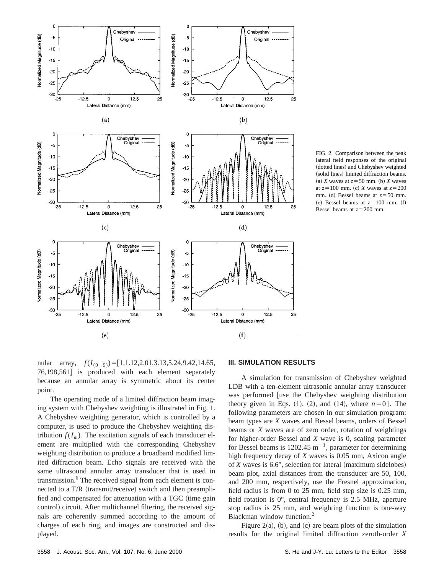

FIG. 2. Comparison between the peak lateral field responses of the original (dotted lines) and Chebyshev weighted (solid lines) limited diffraction beams. (a) *X* waves at  $z = 50$  mm. (b) *X* waves at  $z=100$  mm. (c) *X* waves at  $z=200$ mm. (d) Bessel beams at  $z = 50$  mm. (e) Bessel beams at  $z=100$  mm. (f) Bessel beams at  $z=200$  mm.

nular array,  $f(I_{(0-9)}) = [1,1.12,2.01,3.13,5.24,9.42,14.65,$ 76,198,561] is produced with each element separately because an annular array is symmetric about its center point.

The operating mode of a limited diffraction beam imaging system with Chebyshev weighting is illustrated in Fig. 1. A Chebyshev weighting generator, which is controlled by a computer, is used to produce the Chebyshev weighting distribution  $f(I_m)$ . The excitation signals of each transducer element are multiplied with the corresponding Chebyshev weighting distribution to produce a broadband modified limited diffraction beam. Echo signals are received with the same ultrasound annular array transducer that is used in transmission.<sup>6</sup> The received signal from each element is connected to a T/R (transmit/receive) switch and then preamplified and compensated for attenuation with a TGC (time gain control) circuit. After multichannel filtering, the received signals are coherently summed according to the amount of charges of each ring, and images are constructed and displayed.

# **III. SIMULATION RESULTS**

A simulation for transmission of Chebyshev weighted LDB with a ten-element ultrasonic annular array transducer was performed [use the Chebyshev weighting distribution theory given in Eqs.  $(1)$ ,  $(2)$ , and  $(14)$ , where  $n=0$ ]. The following parameters are chosen in our simulation program: beam types are *X* waves and Bessel beams, orders of Bessel beams or *X* waves are of zero order, rotation of weightings for higher-order Bessel and *X* wave is 0, scaling parameter for Bessel beams is 1202.45  $m^{-1}$ , parameter for determining high frequency decay of *X* waves is 0.05 mm, Axicon angle of  $X$  waves is  $6.6^\circ$ , selection for lateral (maximum sidelobes) beam plot, axial distances from the transducer are 50, 100, and 200 mm, respectively, use the Fresnel approximation, field radius is from 0 to 25 mm, field step size is 0.25 mm, field rotation is 0°, central frequency is 2.5 MHz, aperture stop radius is 25 mm, and weighting function is one-way Blackman window function.2

Figure 2(a), (b), and (c) are beam plots of the simulation results for the original limited diffraction zeroth-order *X*